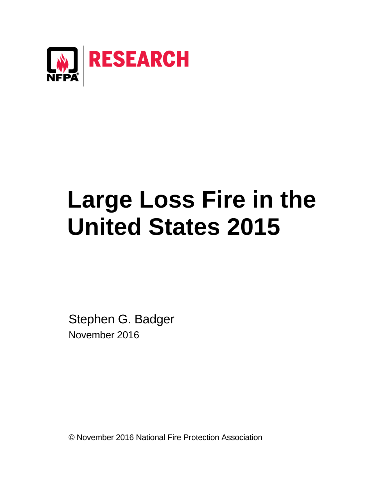

# **Large Loss Fire in the United States 2015**

Stephen G. Badger November 2016

© November 2016 National Fire Protection Association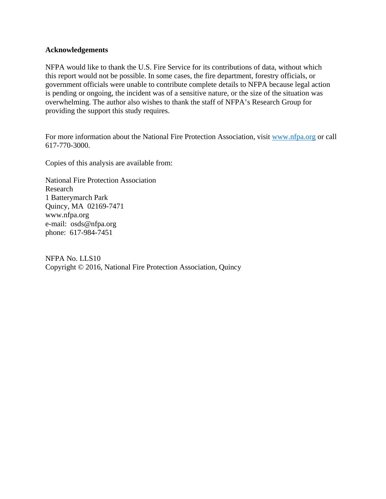#### **Acknowledgements**

NFPA would like to thank the U.S. Fire Service for its contributions of data, without which this report would not be possible. In some cases, the fire department, forestry officials, or government officials were unable to contribute complete details to NFPA because legal action is pending or ongoing, the incident was of a sensitive nature, or the size of the situation was overwhelming. The author also wishes to thank the staff of NFPA's Research Group for providing the support this study requires.

For more information about the National Fire Protection Association, visit [www.nfpa.org](http://www.nfpa.org/) or call 617-770-3000.

Copies of this analysis are available from:

National Fire Protection Association Research 1 Batterymarch Park Quincy, MA 02169-7471 www.nfpa.org e-mail: osds@nfpa.org phone: 617-984-7451

NFPA No. LLS10 Copyright © 2016, National Fire Protection Association, Quincy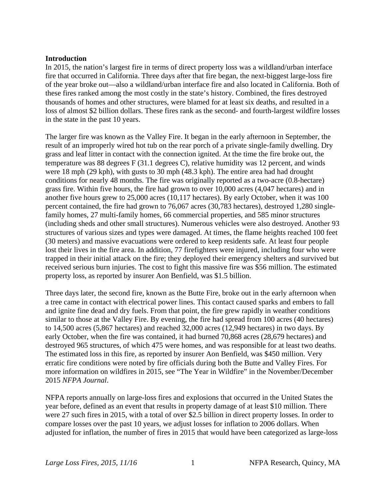## **Introduction**

In 2015, the nation's largest fire in terms of direct property loss was a wildland/urban interface fire that occurred in California. Three days after that fire began, the next-biggest large-loss fire of the year broke out—also a wildland/urban interface fire and also located in California. Both of these fires ranked among the most costly in the state's history. Combined, the fires destroyed thousands of homes and other structures, were blamed for at least six deaths, and resulted in a loss of almost \$2 billion dollars. These fires rank as the second- and fourth-largest wildfire losses in the state in the past 10 years.

The larger fire was known as the Valley Fire. It began in the early afternoon in September, the result of an improperly wired hot tub on the rear porch of a private single-family dwelling. Dry grass and leaf litter in contact with the connection ignited. At the time the fire broke out, the temperature was 88 degrees F (31.1 degrees C), relative humidity was 12 percent, and winds were 18 mph (29 kph), with gusts to 30 mph (48.3 kph). The entire area had had drought conditions for nearly 48 months. The fire was originally reported as a two-acre (0.8-hectare) grass fire. Within five hours, the fire had grown to over 10,000 acres (4,047 hectares) and in another five hours grew to 25,000 acres (10,117 hectares). By early October, when it was 100 percent contained, the fire had grown to 76,067 acres (30,783 hectares), destroyed 1,280 singlefamily homes, 27 multi-family homes, 66 commercial properties, and 585 minor structures (including sheds and other small structures). Numerous vehicles were also destroyed. Another 93 structures of various sizes and types were damaged. At times, the flame heights reached 100 feet (30 meters) and massive evacuations were ordered to keep residents safe. At least four people lost their lives in the fire area. In addition, 77 firefighters were injured, including four who were trapped in their initial attack on the fire; they deployed their emergency shelters and survived but received serious burn injuries. The cost to fight this massive fire was \$56 million. The estimated property loss, as reported by insurer Aon Benfield, was \$1.5 billion.

Three days later, the second fire, known as the Butte Fire, broke out in the early afternoon when a tree came in contact with electrical power lines. This contact caused sparks and embers to fall and ignite fine dead and dry fuels. From that point, the fire grew rapidly in weather conditions similar to those at the Valley Fire. By evening, the fire had spread from 100 acres (40 hectares) to 14,500 acres (5,867 hectares) and reached 32,000 acres (12,949 hectares) in two days. By early October, when the fire was contained, it had burned 70,868 acres (28,679 hectares) and destroyed 965 structures, of which 475 were homes, and was responsible for at least two deaths. The estimated loss in this fire, as reported by insurer Aon Benfield, was \$450 million. Very erratic fire conditions were noted by fire officials during both the Butte and Valley Fires. For more information on wildfires in 2015, see "The Year in Wildfire" in the November/December 2015 *NFPA Journal*.

NFPA reports annually on large-loss fires and explosions that occurred in the United States the year before, defined as an event that results in property damage of at least \$10 million. There were 27 such fires in 2015, with a total of over \$2.5 billion in direct property losses. In order to compare losses over the past 10 years, we adjust losses for inflation to 2006 dollars. When adjusted for inflation, the number of fires in 2015 that would have been categorized as large-loss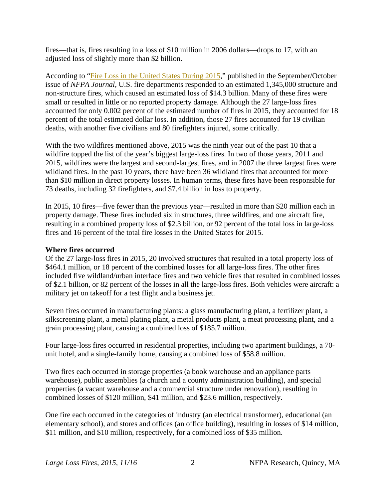fires—that is, fires resulting in a loss of \$10 million in 2006 dollars—drops to 17, with an adjusted loss of slightly more than \$2 billion.

According to ["Fire Loss in the United States During 2015,](http://www.nfpa.org/news-and-research/publications/nfpa-journal/2016/september-october-2016/features/2015-us-fire-loss-report)" published in the September/October issue of *NFPA Journal*, U.S. fire departments responded to an estimated 1,345,000 structure and non-structure fires, which caused an estimated loss of \$14.3 billion. Many of these fires were small or resulted in little or no reported property damage. Although the 27 large-loss fires accounted for only 0.002 percent of the estimated number of fires in 2015, they accounted for 18 percent of the total estimated dollar loss. In addition, those 27 fires accounted for 19 civilian deaths, with another five civilians and 80 firefighters injured, some critically.

With the two wildfires mentioned above, 2015 was the ninth year out of the past 10 that a wildfire topped the list of the year's biggest large-loss fires. In two of those years, 2011 and 2015, wildfires were the largest and second-largest fires, and in 2007 the three largest fires were wildland fires. In the past 10 years, there have been 36 wildland fires that accounted for more than \$10 million in direct property losses. In human terms, these fires have been responsible for 73 deaths, including 32 firefighters, and \$7.4 billion in loss to property.

In 2015, 10 fires—five fewer than the previous year—resulted in more than \$20 million each in property damage. These fires included six in structures, three wildfires, and one aircraft fire, resulting in a combined property loss of \$2.3 billion, or 92 percent of the total loss in large-loss fires and 16 percent of the total fire losses in the United States for 2015.

#### **Where fires occurred**

Of the 27 large-loss fires in 2015, 20 involved structures that resulted in a total property loss of \$464.1 million, or 18 percent of the combined losses for all large-loss fires. The other fires included five wildland/urban interface fires and two vehicle fires that resulted in combined losses of \$2.1 billion, or 82 percent of the losses in all the large-loss fires. Both vehicles were aircraft: a military jet on takeoff for a test flight and a business jet.

Seven fires occurred in manufacturing plants: a glass manufacturing plant, a fertilizer plant, a silkscreening plant, a metal plating plant, a metal products plant, a meat processing plant, and a grain processing plant, causing a combined loss of \$185.7 million.

Four large-loss fires occurred in residential properties, including two apartment buildings, a 70 unit hotel, and a single-family home, causing a combined loss of \$58.8 million.

Two fires each occurred in storage properties (a book warehouse and an appliance parts warehouse), public assemblies (a church and a county administration building), and special properties (a vacant warehouse and a commercial structure under renovation), resulting in combined losses of \$120 million, \$41 million, and \$23.6 million, respectively.

One fire each occurred in the categories of industry (an electrical transformer), educational (an elementary school), and stores and offices (an office building), resulting in losses of \$14 million, \$11 million, and \$10 million, respectively, for a combined loss of \$35 million.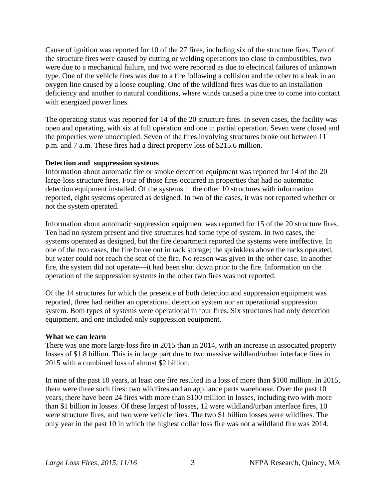Cause of ignition was reported for 10 of the 27 fires, including six of the structure fires. Two of the structure fires were caused by cutting or welding operations too close to combustibles, two were due to a mechanical failure, and two were reported as due to electrical failures of unknown type. One of the vehicle fires was due to a fire following a collision and the other to a leak in an oxygen line caused by a loose coupling. One of the wildland fires was due to an installation deficiency and another to natural conditions, where winds caused a pine tree to come into contact with energized power lines.

The operating status was reported for 14 of the 20 structure fires. In seven cases, the facility was open and operating, with six at full operation and one in partial operation. Seven were closed and the properties were unoccupied. Seven of the fires involving structures broke out between 11 p.m. and 7 a.m. These fires had a direct property loss of \$215.6 million.

## **Detection and suppression systems**

Information about automatic fire or smoke detection equipment was reported for 14 of the 20 large-loss structure fires. Four of those fires occurred in properties that had no automatic detection equipment installed. Of the systems in the other 10 structures with information reported, eight systems operated as designed. In two of the cases, it was not reported whether or not the system operated.

Information about automatic suppression equipment was reported for 15 of the 20 structure fires. Ten had no system present and five structures had some type of system. In two cases, the systems operated as designed, but the fire department reported the systems were ineffective. In one of the two cases, the fire broke out in rack storage; the sprinklers above the racks operated, but water could not reach the seat of the fire. No reason was given in the other case. In another fire, the system did not operate—it had been shut down prior to the fire. Information on the operation of the suppression systems in the other two fires was not reported.

Of the 14 structures for which the presence of both detection and suppression equipment was reported, three had neither an operational detection system nor an operational suppression system. Both types of systems were operational in four fires. Six structures had only detection equipment, and one included only suppression equipment.

#### **What we can learn**

There was one more large-loss fire in 2015 than in 2014, with an increase in associated property losses of \$1.8 billion. This is in large part due to two massive wildland/urban interface fires in 2015 with a combined loss of almost \$2 billion.

In nine of the past 10 years, at least one fire resulted in a loss of more than \$100 million. In 2015, there were three such fires: two wildfires and an appliance parts warehouse. Over the past 10 years, there have been 24 fires with more than \$100 million in losses, including two with more than \$1 billion in losses. Of these largest of losses, 12 were wildland/urban interface fires, 10 were structure fires, and two were vehicle fires. The two \$1 billion losses were wildfires. The only year in the past 10 in which the highest dollar loss fire was not a wildland fire was 2014.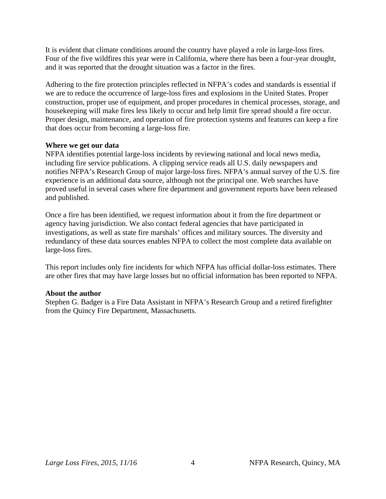It is evident that climate conditions around the country have played a role in large-loss fires. Four of the five wildfires this year were in California, where there has been a four-year drought, and it was reported that the drought situation was a factor in the fires.

Adhering to the fire protection principles reflected in NFPA's codes and standards is essential if we are to reduce the occurrence of large-loss fires and explosions in the United States. Proper construction, proper use of equipment, and proper procedures in chemical processes, storage, and housekeeping will make fires less likely to occur and help limit fire spread should a fire occur. Proper design, maintenance, and operation of fire protection systems and features can keep a fire that does occur from becoming a large-loss fire.

## **Where we get our data**

NFPA identifies potential large-loss incidents by reviewing national and local news media, including fire service publications. A clipping service reads all U.S. daily newspapers and notifies NFPA's Research Group of major large-loss fires. NFPA's annual survey of the U.S. fire experience is an additional data source, although not the principal one. Web searches have proved useful in several cases where fire department and government reports have been released and published.

Once a fire has been identified, we request information about it from the fire department or agency having jurisdiction. We also contact federal agencies that have participated in investigations, as well as state fire marshals' offices and military sources. The diversity and redundancy of these data sources enables NFPA to collect the most complete data available on large-loss fires.

This report includes only fire incidents for which NFPA has official dollar-loss estimates. There are other fires that may have large losses but no official information has been reported to NFPA.

## **About the author**

Stephen G. Badger is a Fire Data Assistant in NFPA's Research Group and a retired firefighter from the Quincy Fire Department, Massachusetts.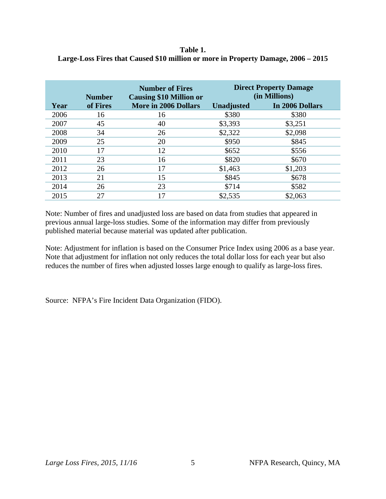## **Table 1. Large-Loss Fires that Caused \$10 million or more in Property Damage, 2006 – 2015**

|      | <b>Number</b> | <b>Number of Fires</b><br><b>Causing \$10 Million or</b> | <b>Direct Property Damage</b><br>(in Millions) |                 |
|------|---------------|----------------------------------------------------------|------------------------------------------------|-----------------|
| Year | of Fires      | <b>More in 2006 Dollars</b>                              | <b>Unadjusted</b>                              | In 2006 Dollars |
| 2006 | 16            | 16                                                       | \$380                                          | \$380           |
| 2007 | 45            | 40                                                       | \$3,393                                        | \$3,251         |
| 2008 | 34            | 26                                                       | \$2,322                                        | \$2,098         |
| 2009 | 25            | 20                                                       | \$950                                          | \$845           |
| 2010 | 17            | 12                                                       | \$652                                          | \$556           |
| 2011 | 23            | 16                                                       | \$820                                          | \$670           |
| 2012 | 26            | 17                                                       | \$1,463                                        | \$1,203         |
| 2013 | 21            | 15                                                       | \$845                                          | \$678           |
| 2014 | 26            | 23                                                       | \$714                                          | \$582           |
| 2015 | 27            | 17                                                       | \$2,535                                        | \$2,063         |

Note: Number of fires and unadjusted loss are based on data from studies that appeared in previous annual large-loss studies. Some of the information may differ from previously published material because material was updated after publication.

Note: Adjustment for inflation is based on the Consumer Price Index using 2006 as a base year. Note that adjustment for inflation not only reduces the total dollar loss for each year but also reduces the number of fires when adjusted losses large enough to qualify as large-loss fires.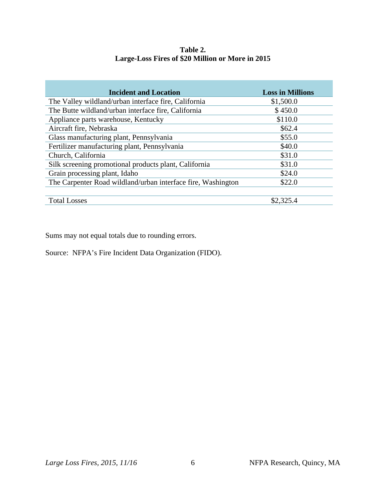| Table 2.                                         |  |  |  |  |  |  |  |
|--------------------------------------------------|--|--|--|--|--|--|--|
| Large-Loss Fires of \$20 Million or More in 2015 |  |  |  |  |  |  |  |

| <b>Incident and Location</b>                                 | <b>Loss in Millions</b> |
|--------------------------------------------------------------|-------------------------|
| The Valley wildland/urban interface fire, California         | \$1,500.0               |
| The Butte wildland/urban interface fire, California          | \$450.0                 |
| Appliance parts warehouse, Kentucky                          | \$110.0                 |
| Aircraft fire, Nebraska                                      | \$62.4                  |
| Glass manufacturing plant, Pennsylvania                      | \$55.0                  |
| Fertilizer manufacturing plant, Pennsylvania                 | \$40.0                  |
| Church, California                                           | \$31.0                  |
| Silk screening promotional products plant, California        | \$31.0                  |
| Grain processing plant, Idaho                                | \$24.0                  |
| The Carpenter Road wildland/urban interface fire, Washington | \$22.0                  |
|                                                              |                         |
| <b>Total Losses</b>                                          | \$2,325.4               |

Sums may not equal totals due to rounding errors.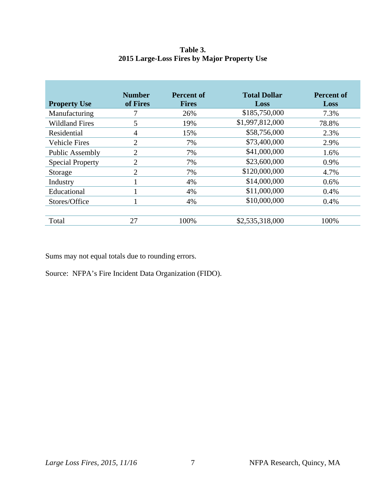## **Table 3. 2015 Large-Loss Fires by Major Property Use**

| <b>Property Use</b>     | <b>Number</b><br>of Fires | Percent of<br><b>Fires</b> | <b>Total Dollar</b><br>Loss | <b>Percent of</b><br>Loss |
|-------------------------|---------------------------|----------------------------|-----------------------------|---------------------------|
| Manufacturing           |                           | 26%                        | \$185,750,000               | 7.3%                      |
| <b>Wildland Fires</b>   | 5                         | 19%                        | \$1,997,812,000             | 78.8%                     |
| Residential             | 4                         | 15%                        | \$58,756,000                | 2.3%                      |
| <b>Vehicle Fires</b>    | 2                         | 7%                         | \$73,400,000                | 2.9%                      |
| <b>Public Assembly</b>  | 2                         | 7%                         | \$41,000,000                | 1.6%                      |
| <b>Special Property</b> | 2                         | 7%                         | \$23,600,000                | 0.9%                      |
| Storage                 | 2                         | 7%                         | \$120,000,000               | 4.7%                      |
| Industry                |                           | 4%                         | \$14,000,000                | $0.6\%$                   |
| Educational             |                           | 4%                         | \$11,000,000                | 0.4%                      |
| Stores/Office           |                           | 4%                         | \$10,000,000                | 0.4%                      |
| Total                   | 27                        | 100%                       | \$2,535,318,000             | 100%                      |

Sums may not equal totals due to rounding errors.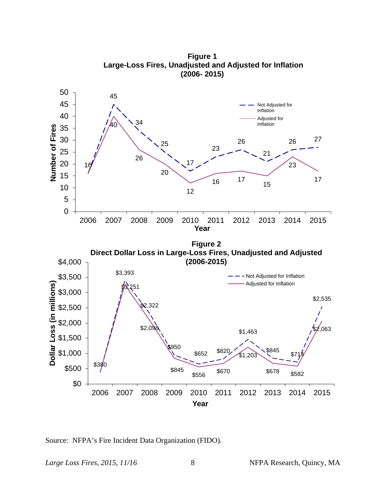

**Figure 1 Large-Loss Fires, Unadjusted and Adjusted for Inflation (2006- 2015)**

Source: NFPA's Fire Incident Data Organization (FIDO).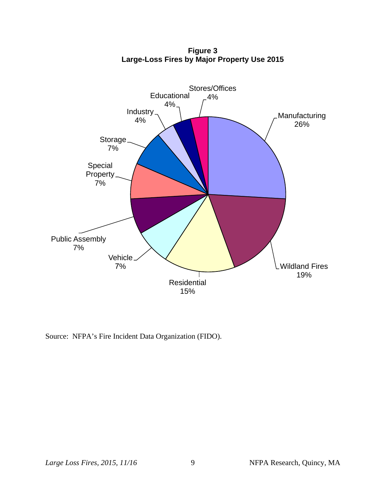

**Figure 3 Large-Loss Fires by Major Property Use 2015**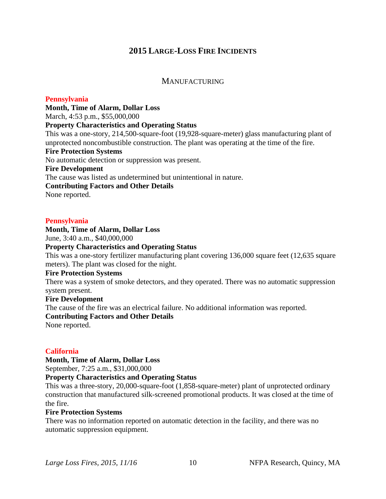## **2015 LARGE-LOSS FIRE INCIDENTS**

## **MANUFACTURING**

## **Pennsylvania**

**Month, Time of Alarm, Dollar Loss**  March, 4:53 p.m., \$55,000,000 **Property Characteristics and Operating Status** This was a one-story, 214,500-square-foot (19,928-square-meter) glass manufacturing plant of unprotected noncombustible construction. The plant was operating at the time of the fire. **Fire Protection Systems** No automatic detection or suppression was present. **Fire Development** The cause was listed as undetermined but unintentional in nature. **Contributing Factors and Other Details**  None reported.

#### **Pennsylvania**

**Month, Time of Alarm, Dollar Loss** 

June, 3:40 a.m., \$40,000,000

**Property Characteristics and Operating Status**

This was a one-story fertilizer manufacturing plant covering 136,000 square feet (12,635 square meters). The plant was closed for the night.

#### **Fire Protection Systems**

There was a system of smoke detectors, and they operated. There was no automatic suppression system present.

## **Fire Development**

The cause of the fire was an electrical failure. No additional information was reported.

#### **Contributing Factors and Other Details**

None reported.

## **California**

**Month, Time of Alarm, Dollar Loss** 

September, 7:25 a.m., \$31,000,000

## **Property Characteristics and Operating Status**

This was a three-story, 20,000-square-foot (1,858-square-meter) plant of unprotected ordinary construction that manufactured silk-screened promotional products. It was closed at the time of the fire.

#### **Fire Protection Systems**

There was no information reported on automatic detection in the facility, and there was no automatic suppression equipment.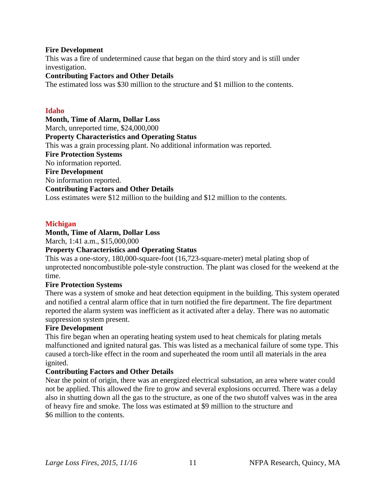#### **Fire Development**

This was a fire of undetermined cause that began on the third story and is still under investigation.

## **Contributing Factors and Other Details**

The estimated loss was \$30 million to the structure and \$1 million to the contents.

#### **Idaho**

**Month, Time of Alarm, Dollar Loss**  March, unreported time, \$24,000,000 **Property Characteristics and Operating Status** This was a grain processing plant. No additional information was reported. **Fire Protection Systems** No information reported. **Fire Development** No information reported. **Contributing Factors and Other Details**  Loss estimates were \$12 million to the building and \$12 million to the contents.

## **Michigan**

## **Month, Time of Alarm, Dollar Loss**

March, 1:41 a.m., \$15,000,000

#### **Property Characteristics and Operating Status**

This was a one-story, 180,000-square-foot (16,723-square-meter) metal plating shop of unprotected noncombustible pole-style construction. The plant was closed for the weekend at the time.

#### **Fire Protection Systems**

There was a system of smoke and heat detection equipment in the building. This system operated and notified a central alarm office that in turn notified the fire department. The fire department reported the alarm system was inefficient as it activated after a delay. There was no automatic suppression system present.

#### **Fire Development**

This fire began when an operating heating system used to heat chemicals for plating metals malfunctioned and ignited natural gas. This was listed as a mechanical failure of some type. This caused a torch-like effect in the room and superheated the room until all materials in the area ignited.

## **Contributing Factors and Other Details**

Near the point of origin, there was an energized electrical substation, an area where water could not be applied. This allowed the fire to grow and several explosions occurred. There was a delay also in shutting down all the gas to the structure, as one of the two shutoff valves was in the area of heavy fire and smoke. The loss was estimated at \$9 million to the structure and \$6 million to the contents.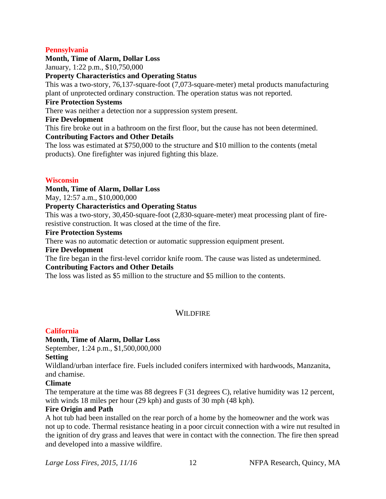## **Pennsylvania**

## **Month, Time of Alarm, Dollar Loss**

January, 1:22 p.m., \$10,750,000

## **Property Characteristics and Operating Status**

This was a two-story, 76,137-square-foot (7,073-square-meter) metal products manufacturing plant of unprotected ordinary construction. The operation status was not reported.

## **Fire Protection Systems**

There was neither a detection nor a suppression system present.

## **Fire Development**

This fire broke out in a bathroom on the first floor, but the cause has not been determined. **Contributing Factors and Other Details** 

The loss was estimated at \$750,000 to the structure and \$10 million to the contents (metal products). One firefighter was injured fighting this blaze.

## **Wisconsin**

## **Month, Time of Alarm, Dollar Loss**

May, 12:57 a.m., \$10,000,000

## **Property Characteristics and Operating Status**

This was a two-story, 30,450-square-foot (2,830-square-meter) meat processing plant of fireresistive construction. It was closed at the time of the fire.

## **Fire Protection Systems**

There was no automatic detection or automatic suppression equipment present.

## **Fire Development**

The fire began in the first-level corridor knife room. The cause was listed as undetermined.

# **Contributing Factors and Other Details**

The loss was listed as \$5 million to the structure and \$5 million to the contents.

## **WILDFIRE**

## **California**

## **Month, Time of Alarm, Dollar Loss**

September, 1:24 p.m., \$1,500,000,000

## **Setting**

Wildland/urban interface fire. Fuels included conifers intermixed with hardwoods, Manzanita, and chamise.

## **Climate**

The temperature at the time was 88 degrees F (31 degrees C), relative humidity was 12 percent, with winds 18 miles per hour (29 kph) and gusts of 30 mph (48 kph).

## **Fire Origin and Path**

A hot tub had been installed on the rear porch of a home by the homeowner and the work was not up to code. Thermal resistance heating in a poor circuit connection with a wire nut resulted in the ignition of dry grass and leaves that were in contact with the connection. The fire then spread and developed into a massive wildfire.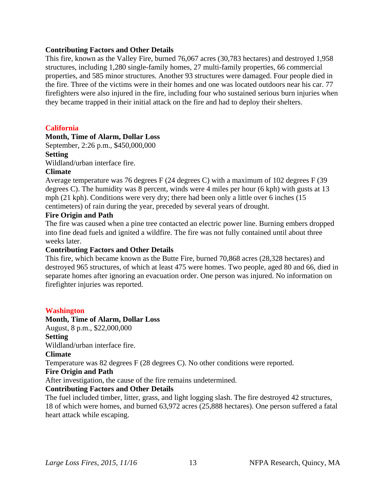#### **Contributing Factors and Other Details**

This fire, known as the Valley Fire, burned 76,067 acres (30,783 hectares) and destroyed 1,958 structures, including 1,280 single-family homes, 27 multi-family properties, 66 commercial properties, and 585 minor structures. Another 93 structures were damaged. Four people died in the fire. Three of the victims were in their homes and one was located outdoors near his car. 77 firefighters were also injured in the fire, including four who sustained serious burn injuries when they became trapped in their initial attack on the fire and had to deploy their shelters.

## **California**

## **Month, Time of Alarm, Dollar Loss**

September, 2:26 p.m., \$450,000,000

## **Setting**

Wildland/urban interface fire.

## **Climate**

Average temperature was 76 degrees F (24 degrees C) with a maximum of 102 degrees F (39 degrees C). The humidity was 8 percent, winds were 4 miles per hour (6 kph) with gusts at 13 mph (21 kph). Conditions were very dry; there had been only a little over 6 inches (15 centimeters) of rain during the year, preceded by several years of drought.

## **Fire Origin and Path**

The fire was caused when a pine tree contacted an electric power line. Burning embers dropped into fine dead fuels and ignited a wildfire. The fire was not fully contained until about three weeks later.

## **Contributing Factors and Other Details**

This fire, which became known as the Butte Fire, burned 70,868 acres (28,328 hectares) and destroyed 965 structures, of which at least 475 were homes. Two people, aged 80 and 66, died in separate homes after ignoring an evacuation order. One person was injured. No information on firefighter injuries was reported.

## **Washington**

## **Month, Time of Alarm, Dollar Loss**

August, 8 p.m., \$22,000,000 **Setting** 

Wildland/urban interface fire.

**Climate** 

Temperature was 82 degrees F (28 degrees C). No other conditions were reported.

## **Fire Origin and Path**

After investigation, the cause of the fire remains undetermined.

## **Contributing Factors and Other Details**

The fuel included timber, litter, grass, and light logging slash. The fire destroyed 42 structures, 18 of which were homes, and burned 63,972 acres (25,888 hectares). One person suffered a fatal heart attack while escaping.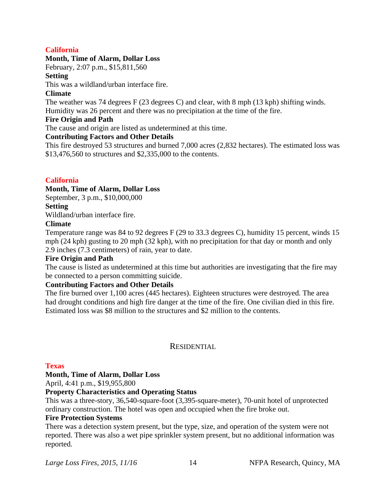## **California**

## **Month, Time of Alarm, Dollar Loss**

February, 2:07 p.m., \$15,811,560

## **Setting**

This was a wildland/urban interface fire.

## **Climate**

The weather was 74 degrees F (23 degrees C) and clear, with 8 mph (13 kph) shifting winds. Humidity was 26 percent and there was no precipitation at the time of the fire.

## **Fire Origin and Path**

The cause and origin are listed as undetermined at this time.

## **Contributing Factors and Other Details**

This fire destroyed 53 structures and burned 7,000 acres (2,832 hectares). The estimated loss was \$13,476,560 to structures and \$2,335,000 to the contents.

## **California**

## **Month, Time of Alarm, Dollar Loss**

September, 3 p.m., \$10,000,000

**Setting** 

Wildland/urban interface fire.

## **Climate**

Temperature range was 84 to 92 degrees F (29 to 33.3 degrees C), humidity 15 percent, winds 15 mph (24 kph) gusting to 20 mph (32 kph), with no precipitation for that day or month and only 2.9 inches (7.3 centimeters) of rain, year to date.

## **Fire Origin and Path**

The cause is listed as undetermined at this time but authorities are investigating that the fire may be connected to a person committing suicide.

## **Contributing Factors and Other Details**

The fire burned over 1,100 acres (445 hectares). Eighteen structures were destroyed. The area had drought conditions and high fire danger at the time of the fire. One civilian died in this fire. Estimated loss was \$8 million to the structures and \$2 million to the contents.

## **RESIDENTIAL**

## **Texas**

## **Month, Time of Alarm, Dollar Loss**

April, 4:41 p.m., \$19,955,800

## **Property Characteristics and Operating Status**

This was a three-story, 36,540-square-foot (3,395-square-meter), 70-unit hotel of unprotected ordinary construction. The hotel was open and occupied when the fire broke out.

## **Fire Protection Systems**

There was a detection system present, but the type, size, and operation of the system were not reported. There was also a wet pipe sprinkler system present, but no additional information was reported.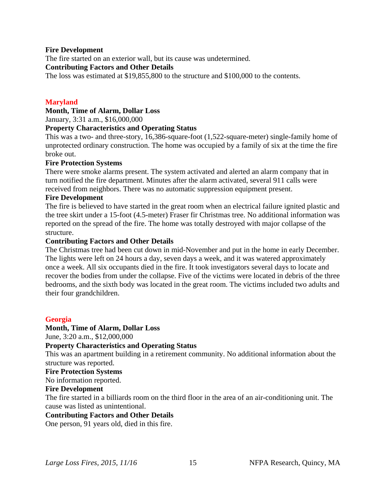#### **Fire Development**

The fire started on an exterior wall, but its cause was undetermined.

#### **Contributing Factors and Other Details**

The loss was estimated at \$19,855,800 to the structure and \$100,000 to the contents.

## **Maryland**

## **Month, Time of Alarm, Dollar Loss**

January, 3:31 a.m., \$16,000,000

## **Property Characteristics and Operating Status**

This was a two- and three-story, 16,386-square-foot (1,522-square-meter) single-family home of unprotected ordinary construction. The home was occupied by a family of six at the time the fire broke out.

## **Fire Protection Systems**

There were smoke alarms present. The system activated and alerted an alarm company that in turn notified the fire department. Minutes after the alarm activated, several 911 calls were received from neighbors. There was no automatic suppression equipment present.

## **Fire Development**

The fire is believed to have started in the great room when an electrical failure ignited plastic and the tree skirt under a 15-foot (4.5-meter) Fraser fir Christmas tree. No additional information was reported on the spread of the fire. The home was totally destroyed with major collapse of the structure.

#### **Contributing Factors and Other Details**

The Christmas tree had been cut down in mid-November and put in the home in early December. The lights were left on 24 hours a day, seven days a week, and it was watered approximately once a week. All six occupants died in the fire. It took investigators several days to locate and recover the bodies from under the collapse. Five of the victims were located in debris of the three bedrooms, and the sixth body was located in the great room. The victims included two adults and their four grandchildren.

## **Georgia**

## **Month, Time of Alarm, Dollar Loss**

June, 3:20 a.m., \$12,000,000

## **Property Characteristics and Operating Status**

This was an apartment building in a retirement community. No additional information about the structure was reported.

#### **Fire Protection Systems**

No information reported.

## **Fire Development**

The fire started in a billiards room on the third floor in the area of an air-conditioning unit. The cause was listed as unintentional.

## **Contributing Factors and Other Details**

One person, 91 years old, died in this fire.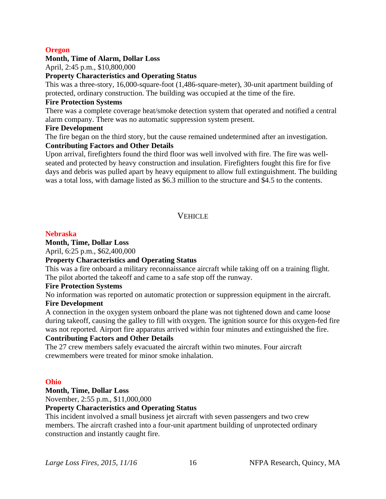## **Oregon**

## **Month, Time of Alarm, Dollar Loss**

April, 2:45 p.m., \$10,800,000

#### **Property Characteristics and Operating Status**

This was a three-story, 16,000-square-foot (1,486-square-meter), 30-unit apartment building of protected, ordinary construction. The building was occupied at the time of the fire.

#### **Fire Protection Systems**

There was a complete coverage heat/smoke detection system that operated and notified a central alarm company. There was no automatic suppression system present.

#### **Fire Development**

The fire began on the third story, but the cause remained undetermined after an investigation. **Contributing Factors and Other Details** 

Upon arrival, firefighters found the third floor was well involved with fire. The fire was wellseated and protected by heavy construction and insulation. Firefighters fought this fire for five days and debris was pulled apart by heavy equipment to allow full extinguishment. The building was a total loss, with damage listed as \$6.3 million to the structure and \$4.5 to the contents.

## **VEHICLE**

#### **Nebraska**

**Month, Time, Dollar Loss**

April, 6:25 p.m., \$62,400,000

## **Property Characteristics and Operating Status**

This was a fire onboard a military reconnaissance aircraft while taking off on a training flight. The pilot aborted the takeoff and came to a safe stop off the runway.

#### **Fire Protection Systems**

No information was reported on automatic protection or suppression equipment in the aircraft.

## **Fire Development**

A connection in the oxygen system onboard the plane was not tightened down and came loose during takeoff, causing the galley to fill with oxygen. The ignition source for this oxygen-fed fire was not reported. Airport fire apparatus arrived within four minutes and extinguished the fire.

## **Contributing Factors and Other Details**

The 27 crew members safely evacuated the aircraft within two minutes. Four aircraft crewmembers were treated for minor smoke inhalation.

## **Ohio**

**Month, Time, Dollar Loss**

November, 2:55 p.m., \$11,000,000

## **Property Characteristics and Operating Status**

This incident involved a small business jet aircraft with seven passengers and two crew members. The aircraft crashed into a four-unit apartment building of unprotected ordinary construction and instantly caught fire.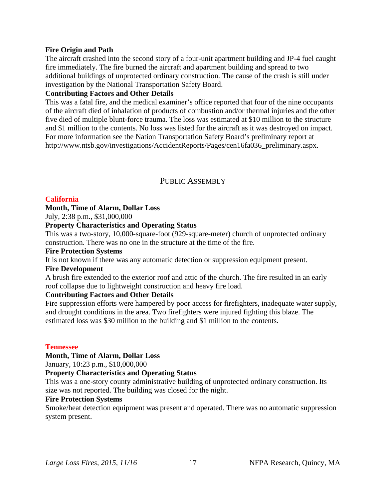## **Fire Origin and Path**

The aircraft crashed into the second story of a four-unit apartment building and JP-4 fuel caught fire immediately. The fire burned the aircraft and apartment building and spread to two additional buildings of unprotected ordinary construction. The cause of the crash is still under investigation by the National Transportation Safety Board.

## **Contributing Factors and Other Details**

This was a fatal fire, and the medical examiner's office reported that four of the nine occupants of the aircraft died of inhalation of products of combustion and/or thermal injuries and the other five died of multiple blunt-force trauma. The loss was estimated at \$10 million to the structure and \$1 million to the contents. No loss was listed for the aircraft as it was destroyed on impact. For more information see the Nation Transportation Safety Board's preliminary report at http://www.ntsb.gov/investigations/AccidentReports/Pages/cen16fa036\_preliminary.aspx.

## PUBLIC ASSEMBLY

## **California**

## **Month, Time of Alarm, Dollar Loss**

July, 2:38 p.m., \$31,000,000

## **Property Characteristics and Operating Status**

This was a two-story, 10,000-square-foot (929-square-meter) church of unprotected ordinary construction. There was no one in the structure at the time of the fire.

#### **Fire Protection Systems**

It is not known if there was any automatic detection or suppression equipment present.

## **Fire Development**

A brush fire extended to the exterior roof and attic of the church. The fire resulted in an early roof collapse due to lightweight construction and heavy fire load.

## **Contributing Factors and Other Details**

Fire suppression efforts were hampered by poor access for firefighters, inadequate water supply, and drought conditions in the area. Two firefighters were injured fighting this blaze. The estimated loss was \$30 million to the building and \$1 million to the contents.

#### **Tennessee**

## **Month, Time of Alarm, Dollar Loss**

January, 10:23 p.m., \$10,000,000

## **Property Characteristics and Operating Status**

This was a one-story county administrative building of unprotected ordinary construction. Its size was not reported. The building was closed for the night.

## **Fire Protection Systems**

Smoke/heat detection equipment was present and operated. There was no automatic suppression system present.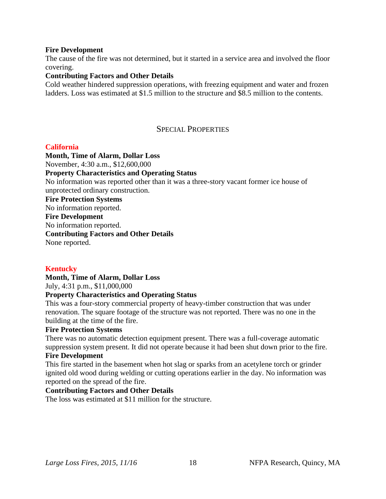## **Fire Development**

The cause of the fire was not determined, but it started in a service area and involved the floor covering.

## **Contributing Factors and Other Details**

Cold weather hindered suppression operations, with freezing equipment and water and frozen ladders. Loss was estimated at \$1.5 million to the structure and \$8.5 million to the contents.

## SPECIAL PROPERTIES

## **California**

**Month, Time of Alarm, Dollar Loss**  November, 4:30 a.m., \$12,600,000 **Property Characteristics and Operating Status** No information was reported other than it was a three-story vacant former ice house of unprotected ordinary construction. **Fire Protection Systems** No information reported. **Fire Development** No information reported. **Contributing Factors and Other Details** None reported.

## **Kentucky**

#### **Month, Time of Alarm, Dollar Loss**  July, 4:31 p.m., \$11,000,000 **Property Characteristics and Operating Status**

# This was a four-story commercial property of heavy-timber construction that was under renovation. The square footage of the structure was not reported. There was no one in the

# building at the time of the fire.

## **Fire Protection Systems**

There was no automatic detection equipment present. There was a full-coverage automatic suppression system present. It did not operate because it had been shut down prior to the fire.

## **Fire Development**

This fire started in the basement when hot slag or sparks from an acetylene torch or grinder ignited old wood during welding or cutting operations earlier in the day. No information was reported on the spread of the fire.

## **Contributing Factors and Other Details**

The loss was estimated at \$11 million for the structure.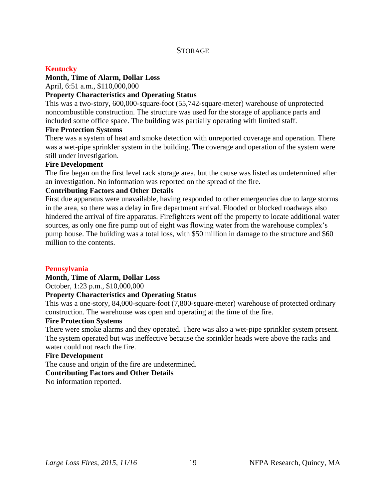## **STORAGE**

## **Kentucky**

## **Month, Time of Alarm, Dollar Loss**

April, 6:51 a.m., \$110,000,000

## **Property Characteristics and Operating Status**

This was a two-story, 600,000-square-foot (55,742-square-meter) warehouse of unprotected noncombustible construction. The structure was used for the storage of appliance parts and included some office space. The building was partially operating with limited staff.

#### **Fire Protection Systems**

There was a system of heat and smoke detection with unreported coverage and operation. There was a wet-pipe sprinkler system in the building. The coverage and operation of the system were still under investigation.

#### **Fire Development**

The fire began on the first level rack storage area, but the cause was listed as undetermined after an investigation. No information was reported on the spread of the fire.

## **Contributing Factors and Other Details**

First due apparatus were unavailable, having responded to other emergencies due to large storms in the area, so there was a delay in fire department arrival. Flooded or blocked roadways also hindered the arrival of fire apparatus. Firefighters went off the property to locate additional water sources, as only one fire pump out of eight was flowing water from the warehouse complex's pump house. The building was a total loss, with \$50 million in damage to the structure and \$60 million to the contents.

## **Pennsylvania**

## **Month, Time of Alarm, Dollar Loss**

October, 1:23 p.m., \$10,000,000

## **Property Characteristics and Operating Status**

This was a one-story, 84,000-square-foot (7,800-square-meter) warehouse of protected ordinary construction. The warehouse was open and operating at the time of the fire.

## **Fire Protection Systems**

There were smoke alarms and they operated. There was also a wet-pipe sprinkler system present. The system operated but was ineffective because the sprinkler heads were above the racks and water could not reach the fire.

#### **Fire Development**

The cause and origin of the fire are undetermined.

## **Contributing Factors and Other Details**

No information reported.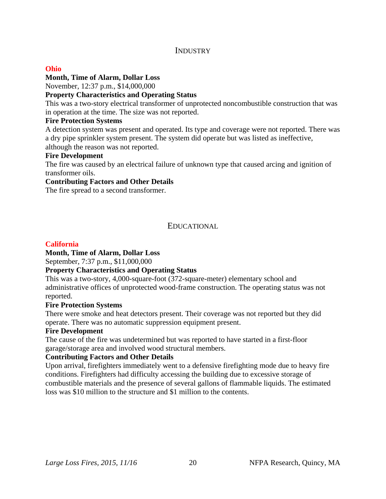## **INDUSTRY**

## **Ohio**

## **Month, Time of Alarm, Dollar Loss**

November, 12:37 p.m., \$14,000,000

## **Property Characteristics and Operating Status**

This was a two-story electrical transformer of unprotected noncombustible construction that was in operation at the time. The size was not reported.

## **Fire Protection Systems**

A detection system was present and operated. Its type and coverage were not reported. There was a dry pipe sprinkler system present. The system did operate but was listed as ineffective, although the reason was not reported.

## **Fire Development**

The fire was caused by an electrical failure of unknown type that caused arcing and ignition of transformer oils.

## **Contributing Factors and Other Details**

The fire spread to a second transformer.

## EDUCATIONAL

## **California**

## **Month, Time of Alarm, Dollar Loss**

September, 7:37 p.m., \$11,000,000

## **Property Characteristics and Operating Status**

This was a two-story, 4,000-square-foot (372-square-meter) elementary school and administrative offices of unprotected wood-frame construction. The operating status was not reported.

## **Fire Protection Systems**

There were smoke and heat detectors present. Their coverage was not reported but they did operate. There was no automatic suppression equipment present.

## **Fire Development**

The cause of the fire was undetermined but was reported to have started in a first-floor garage/storage area and involved wood structural members.

## **Contributing Factors and Other Details**

Upon arrival, firefighters immediately went to a defensive firefighting mode due to heavy fire conditions. Firefighters had difficulty accessing the building due to excessive storage of combustible materials and the presence of several gallons of flammable liquids. The estimated loss was \$10 million to the structure and \$1 million to the contents.